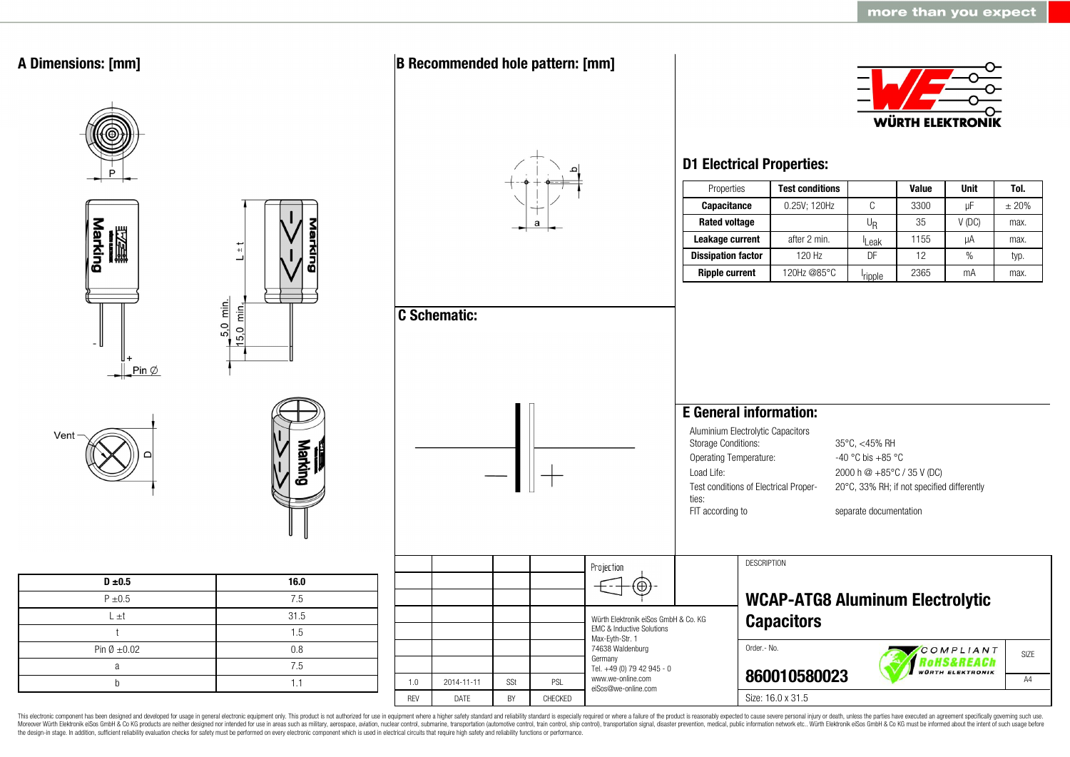

This electronic component has been designed and developed for usage in general electronic equipment only. This product is not authorized for use in equipment where a higher safety standard and reliability standard is espec Moreover Würth Elektronik eiSos GmbH & Co KG products are neither designed nor intended for use in areas such as military, aerospace, aviation, nuclear control, submarine, transportation (automotive control, ship control), the design-in stage. In addition, sufficient reliability evaluation checks for safety must be performed on every electronic component which is used in electrical circuits that require high safety and reliability functions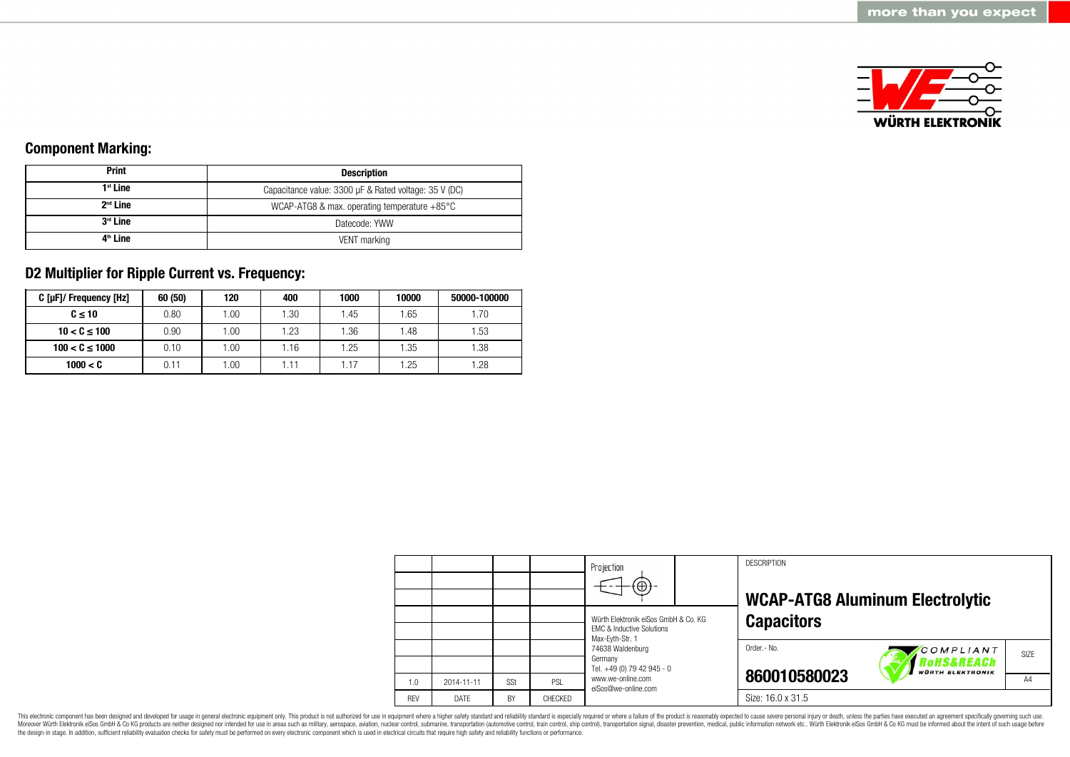

# **Component Marking:**

| <b>Print</b>         | <b>Description</b>                                     |  |  |  |
|----------------------|--------------------------------------------------------|--|--|--|
| $1st$ Line           | Capacitance value: 3300 µF & Rated voltage: 35 V (DC)  |  |  |  |
| $2nd$ Line           | WCAP-ATG8 & max. operating temperature $+85^{\circ}$ C |  |  |  |
| 3 <sup>rd</sup> Line | Datecode: YWW                                          |  |  |  |
| 4 <sup>th</sup> Line | VENT marking                                           |  |  |  |

# **D2 Multiplier for Ripple Current vs. Frequency:**

| C [µF]/ Frequency [Hz] | 60 (50) | 120  | 400  | 1000 | 10000 | 50000-100000 |
|------------------------|---------|------|------|------|-------|--------------|
| $C \leq 10$            | 0.80    | .00. | 1.30 | 1.45 | 1.65  | 1.70         |
| $10 < C \le 100$       | 0.90    | .00. | 1.23 | .36  | 1.48  | 1.53         |
| $100 < C \le 1000$     | 0.10    | .00. | 1.16 | .25  | 1.35  | 1.38         |
| 1000 < C               | 0.11    | .00  | 1.11 |      | 1.25  | 1.28         |

|            |            |           |         | Projection<br>$\Theta$                                                       | <b>DESCRIPTION</b><br><b>WCAP-ATG8 Aluminum Electrolytic</b> |
|------------|------------|-----------|---------|------------------------------------------------------------------------------|--------------------------------------------------------------|
|            |            |           |         | Würth Elektronik eiSos GmbH & Co. KG<br><b>EMC &amp; Inductive Solutions</b> | <b>Capacitors</b>                                            |
|            |            |           |         | Max-Eyth-Str. 1<br>74638 Waldenburg<br>Germany                               | Order.- No.<br>COMPLIANT<br>SIZE<br>Rohs&REACh               |
| 1.0        | 2014-11-11 | SSt       | PSL     | Tel. +49 (0) 79 42 945 - 0<br>www.we-online.com<br>eiSos@we-online.com       | <b>WÜRTH ELEKTRONIK</b><br>860010580023<br>A4                |
| <b>REV</b> | DATE       | <b>BY</b> | CHECKED |                                                                              | Size: 16.0 x 31.5                                            |

This electronic component has been designed and developed for usage in general electronic equipment only. This product is not authorized for use in equipment where a higher safety standard and reliability standard is espec Moreover Würth Elektronik eiSos GmbH & Co KG products are neither designed nor intended for use in areas such as military, aerospace, aviation, nuclear control, submarine, transportation (automotive control), stain control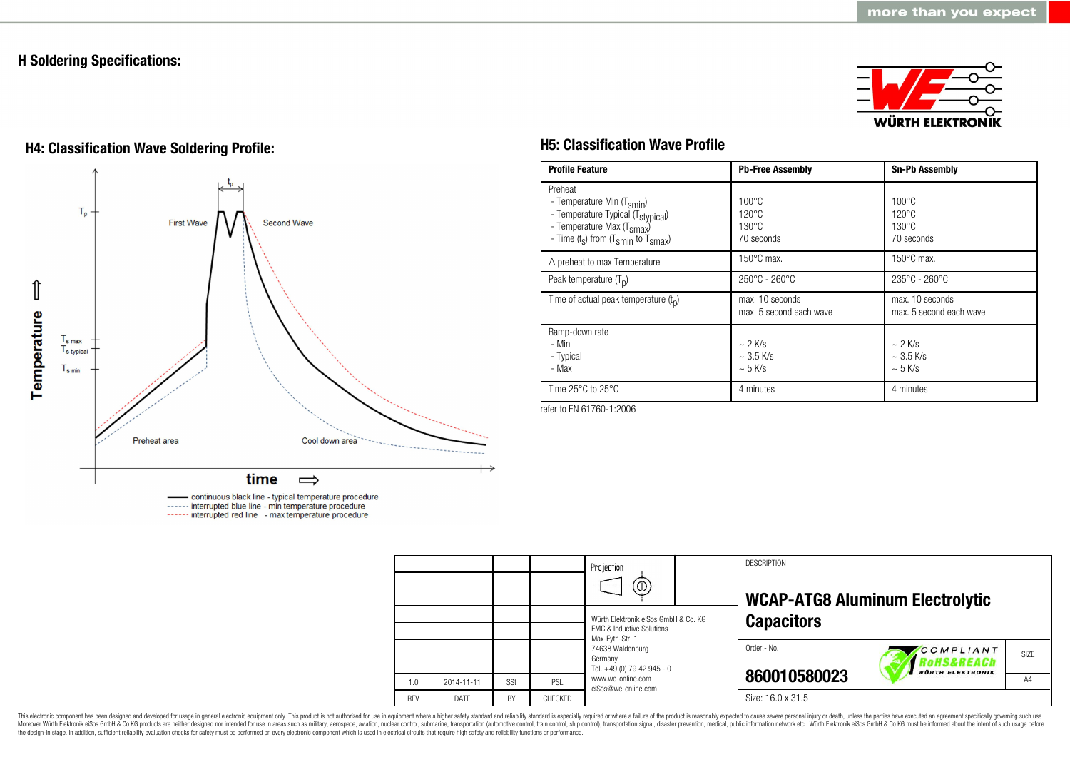# **H Soldering Specifications:**



# **H4: Classification Wave Soldering Profile: H5: Classification Wave Profile**



continuous black line - typical temperature procedure ------ interrupted blue line - min temperature procedure ------ interrupted red line - max temperature procedure

| <b>Profile Feature</b>                                                                                                                                                                          | <b>Pb-Free Assembly</b>                                             | <b>Sn-Pb Assembly</b>                                               |
|-------------------------------------------------------------------------------------------------------------------------------------------------------------------------------------------------|---------------------------------------------------------------------|---------------------------------------------------------------------|
| Preheat<br>- Temperature Min (T <sub>smin</sub> )<br>- Temperature Typical (T <sub>stypical</sub> )<br>- Temperature Max (T <sub>smax</sub> )<br>- Time $(t_s)$ from $(T_{smin}$ to $T_{smax})$ | $100^{\circ}$ C<br>$120^{\circ}$ C<br>$130^{\circ}$ C<br>70 seconds | $100^{\circ}$ C<br>$120^{\circ}$ C<br>$130^{\circ}$ C<br>70 seconds |
| $\triangle$ preheat to max Temperature                                                                                                                                                          | $150^{\circ}$ C max.                                                | $150^{\circ}$ C max.                                                |
| Peak temperature $(T_n)$                                                                                                                                                                        | $250^{\circ}$ C - 260 $^{\circ}$ C                                  | $235^{\circ}$ C - 260 $^{\circ}$ C                                  |
| Time of actual peak temperature $(t_n)$                                                                                                                                                         | max. 10 seconds<br>max. 5 second each wave                          | max. 10 seconds<br>max. 5 second each wave                          |
| Ramp-down rate<br>- Min<br>- Typical<br>- Max                                                                                                                                                   | $\sim$ 2 K/s<br>$\sim$ 3.5 K/s<br>$\sim$ 5 K/s                      | $\sim$ 2 K/s<br>$\sim$ 3.5 K/s<br>$~5$ K/s                          |
| Time $25^{\circ}$ C to $25^{\circ}$ C                                                                                                                                                           | 4 minutes                                                           | 4 minutes                                                           |

refer to EN 61760-1:2006

|            |             |     |         | Projection<br>$\bigoplus$                                                                                                                                                                                |  | <b>DESCRIPTION</b> | <b>WCAP-ATG8 Aluminum Electrolytic</b>             |                |  |
|------------|-------------|-----|---------|----------------------------------------------------------------------------------------------------------------------------------------------------------------------------------------------------------|--|--------------------|----------------------------------------------------|----------------|--|
|            |             |     |         | Würth Elektronik eiSos GmbH & Co. KG<br><b>EMC &amp; Inductive Solutions</b><br>Max-Evth-Str. 1<br>74638 Waldenburg<br>Germany<br>Tel. +49 (0) 79 42 945 - 0<br>www.we-online.com<br>eiSos@we-online.com |  | <b>Capacitors</b>  |                                                    |                |  |
|            |             |     |         |                                                                                                                                                                                                          |  | Order.- No.        | COMPLIANT<br>'oHS&REACh<br><b>WÜRTH ELEKTRONIK</b> | SIZE           |  |
| 1.0        | 2014-11-11  | SSt | PSL     |                                                                                                                                                                                                          |  | 860010580023       |                                                    | A <sub>4</sub> |  |
| <b>REV</b> | <b>DATE</b> | BY  | CHECKED |                                                                                                                                                                                                          |  | Size: 16.0 x 31.5  |                                                    |                |  |

This electronic component has been designed and developed for usage in general electronic equipment only. This product is not authorized for use in equipment where a higher safety standard and reliability standard and reli Moreover Würth Elektronik eiSos GmbH & Co KG products are neither designed nor intended for use in areas such as military, aerospace, aviation, nuclear control, submarine, transportation (automotive control), stain control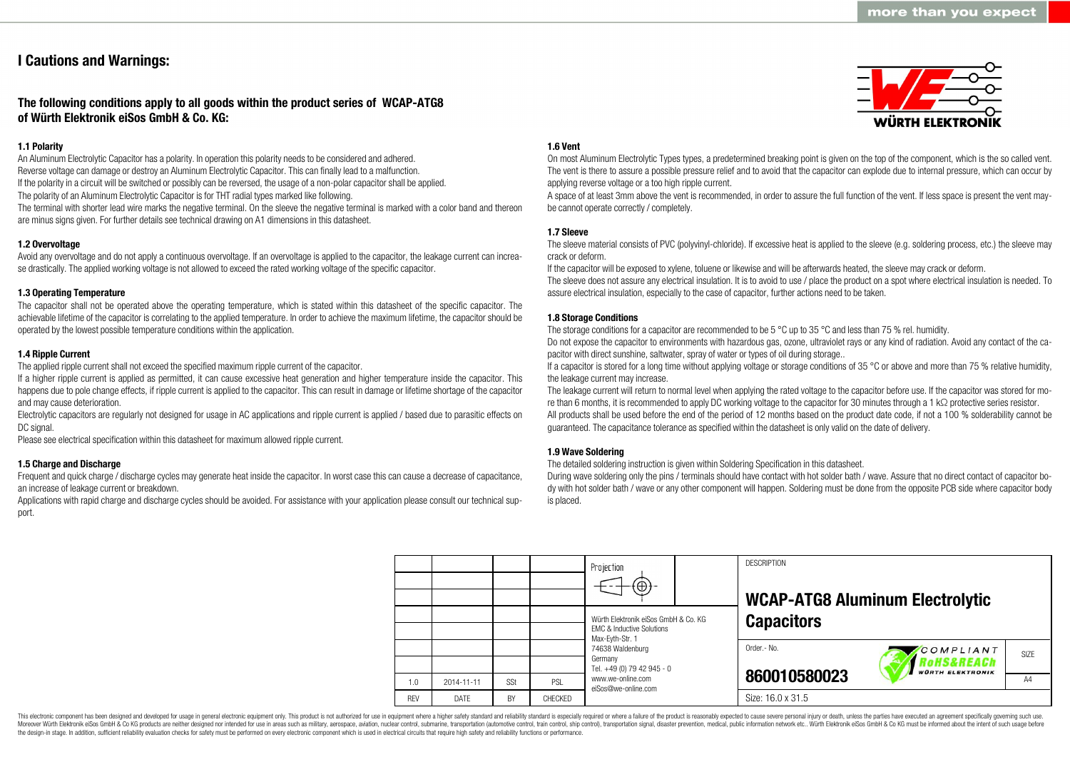# **I Cautions and Warnings:**

# **The following conditions apply to all goods within the product series of WCAP-ATG8 of Würth Elektronik eiSos GmbH & Co. KG:**

# **1.1 Polarity**

An Aluminum Electrolytic Capacitor has a polarity. In operation this polarity needs to be considered and adhered. Reverse voltage can damage or destroy an Aluminum Electrolytic Capacitor. This can finally lead to a malfunction. If the polarity in a circuit will be switched or possibly can be reversed, the usage of a non-polar capacitor shall be applied. The polarity of an Aluminum Electrolytic Capacitor is for THT radial types marked like following.

The terminal with shorter lead wire marks the negative terminal. On the sleeve the negative terminal is marked with a color band and thereon are minus signs given. For further details see technical drawing on A1 dimensions in this datasheet.

# **1.2 Overvoltage**

Avoid any overvoltage and do not apply a continuous overvoltage. If an overvoltage is applied to the capacitor, the leakage current can increase drastically. The applied working voltage is not allowed to exceed the rated working voltage of the specific capacitor.

## **1.3 Operating Temperature**

The capacitor shall not be operated above the operating temperature, which is stated within this datasheet of the specific capacitor. The achievable lifetime of the capacitor is correlating to the applied temperature. In order to achieve the maximum lifetime, the capacitor should be operated by the lowest possible temperature conditions within the application.

#### **1.4 Ripple Current**

The applied ripple current shall not exceed the specified maximum ripple current of the capacitor.

If a higher ripple current is applied as permitted, it can cause excessive heat generation and higher temperature inside the capacitor. This happens due to pole change effects, if ripple current is applied to the capacitor. This can result in damage or lifetime shortage of the capacitor and may cause deterioration.

Electrolytic capacitors are regularly not designed for usage in AC applications and ripple current is applied / based due to parasitic effects on DC signal.

Please see electrical specification within this datasheet for maximum allowed ripple current.

## **1.5 Charge and Discharge**

Frequent and quick charge / discharge cycles may generate heat inside the capacitor. In worst case this can cause a decrease of capacitance, an increase of leakage current or breakdown.

Applications with rapid charge and discharge cycles should be avoided. For assistance with your application please consult our technical support.

## **1.6 Vent**

On most Aluminum Electrolytic Types types, a predetermined breaking point is given on the top of the component, which is the so called vent. The vent is there to assure a possible pressure relief and to avoid that the capacitor can explode due to internal pressure, which can occur by applying reverse voltage or a too high ripple current.

A space of at least 3mm above the vent is recommended, in order to assure the full function of the vent. If less space is present the vent maybe cannot operate correctly / completely.

## **1.7 Sleeve**

The sleeve material consists of PVC (polyvinyl-chloride). If excessive heat is applied to the sleeve (e.g. soldering process, etc.) the sleeve may crack or deform.

If the capacitor will be exposed to xylene, toluene or likewise and will be afterwards heated, the sleeve may crack or deform.

The sleeve does not assure any electrical insulation. It is to avoid to use / place the product on a spot where electrical insulation is needed. To assure electrical insulation, especially to the case of capacitor, further actions need to be taken.

## **1.8 Storage Conditions**

The storage conditions for a capacitor are recommended to be 5 °C up to 35 °C and less than 75 % rel. humidity.

Do not expose the capacitor to environments with hazardous gas, ozone, ultraviolet rays or any kind of radiation. Avoid any contact of the capacitor with direct sunshine, saltwater, spray of water or types of oil during storage..

If a capacitor is stored for a long time without applying voltage or storage conditions of 35 °C or above and more than 75 % relative humidity, the leakage current may increase.

The leakage current will return to normal level when applying the rated voltage to the capacitor before use. If the capacitor was stored for more than 6 months, it is recommended to apply DC working voltage to the capacitor for 30 minutes through a 1 kΩ protective series resistor. All products shall be used before the end of the period of 12 months based on the product date code, if not a 100 % solderability cannot be guaranteed. The capacitance tolerance as specified within the datasheet is only valid on the date of delivery.

## **1.9 Wave Soldering**

The detailed soldering instruction is given within Soldering Specification in this datasheet.

During wave soldering only the pins / terminals should have contact with hot solder bath / wave. Assure that no direct contact of capacitor body with hot solder bath / wave or any other component will happen. Soldering must be done from the opposite PCB side where capacitor body is placed.

|            |             |     |         | Projection<br>$\bigoplus$                                                                       |  | <b>DESCRIPTION</b> | <b>WCAP-ATG8 Aluminum Electrolytic</b>             |                   |  |
|------------|-------------|-----|---------|-------------------------------------------------------------------------------------------------|--|--------------------|----------------------------------------------------|-------------------|--|
|            |             |     |         | Würth Elektronik eiSos GmbH & Co. KG<br><b>EMC &amp; Inductive Solutions</b><br>Max-Evth-Str. 1 |  | <b>Capacitors</b>  |                                                    |                   |  |
|            |             |     |         | 74638 Waldenburg<br>Germany<br>Tel. +49 (0) 79 42 945 - 0                                       |  | Order.- No.        | COMPLIANT<br>RoHS&REACh<br><b>WÜRTH ELEKTRONIK</b> | SI <sub>7</sub> F |  |
| 1.0        | 2014-11-11  | SSt | PSL     | www.we-online.com<br>eiSos@we-online.com                                                        |  | 860010580023       |                                                    | A4                |  |
| <b>RFV</b> | <b>DATF</b> | BY  | CHECKED |                                                                                                 |  | Size: 16.0 x 31.5  |                                                    |                   |  |

This electronic component has been designed and developed for usage in general electronic equipment only. This product is not authorized for use in equipment where a higher safety standard and reliability standard is espec Moreover Würth Elektronik eiSos GmbH & Co KG products are neither designed nor intended for use in areas such as military, aerospace, aviation, nuclear control, submarine, transportation (automotive control), tain control) the design-in stage. In addition, sufficient reliability evaluation checks for safety must be performed on every electronic component which is used in electrical circuits that require high safety and reliability functions

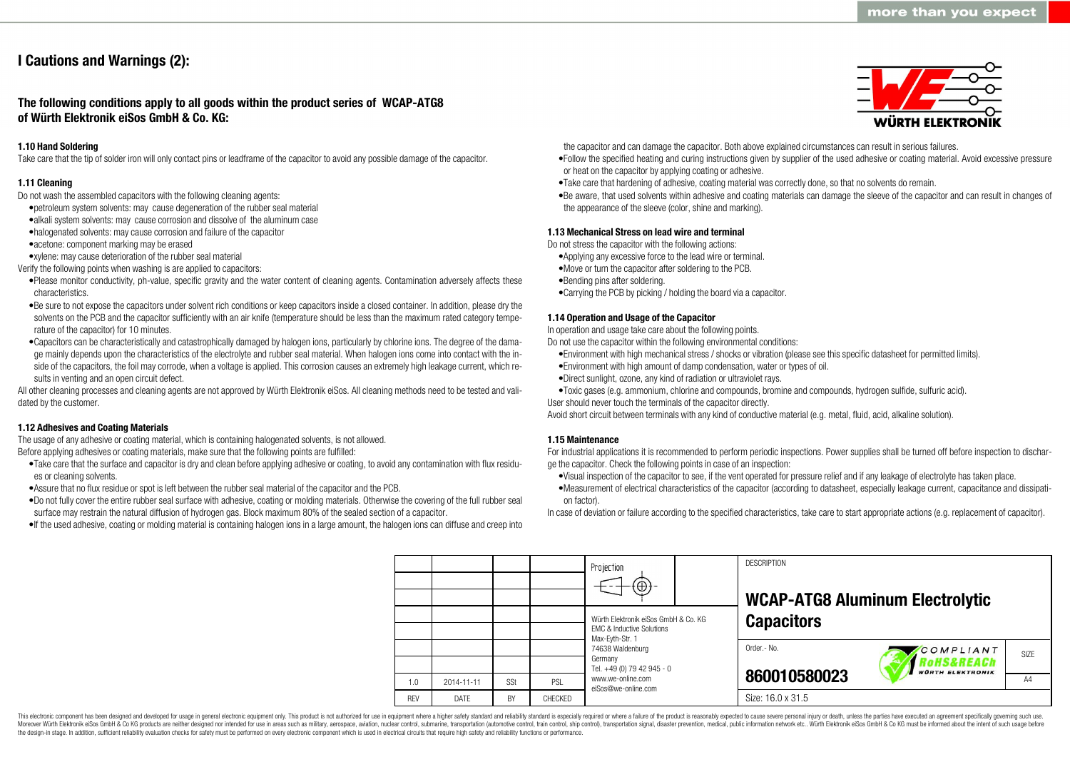# **I Cautions and Warnings (2):**

**The following conditions apply to all goods within the product series of WCAP-ATG8 of Würth Elektronik eiSos GmbH & Co. KG:**

# **1.10 Hand Soldering**

Take care that the tip of solder iron will only contact pins or leadframe of the capacitor to avoid any possible damage of the capacitor.

## **1.11 Cleaning**

Do not wash the assembled capacitors with the following cleaning agents:

- •petroleum system solvents: may cause degeneration of the rubber seal material
- •alkali system solvents: may cause corrosion and dissolve of the aluminum case
- •halogenated solvents: may cause corrosion and failure of the capacitor
- •acetone: component marking may be erased
- •xylene: may cause deterioration of the rubber seal material
- Verify the following points when washing is are applied to capacitors:
- •Please monitor conductivity, ph-value, specific gravity and the water content of cleaning agents. Contamination adversely affects these characteristics.
- •Be sure to not expose the capacitors under solvent rich conditions or keep capacitors inside a closed container. In addition, please dry the solvents on the PCB and the capacitor sufficiently with an air knife (temperature should be less than the maximum rated category temperature of the capacitor) for 10 minutes.
- •Capacitors can be characteristically and catastrophically damaged by halogen ions, particularly by chlorine ions. The degree of the damage mainly depends upon the characteristics of the electrolyte and rubber seal material. When halogen ions come into contact with the inside of the capacitors, the foil may corrode, when a voltage is applied. This corrosion causes an extremely high leakage current, which results in venting and an open circuit defect.

All other cleaning processes and cleaning agents are not approved by Würth Elektronik eiSos. All cleaning methods need to be tested and validated by the customer.

## **1.12 Adhesives and Coating Materials**

The usage of any adhesive or coating material, which is containing halogenated solvents, is not allowed. Before applying adhesives or coating materials, make sure that the following points are fulfilled:

- •Take care that the surface and capacitor is dry and clean before applying adhesive or coating, to avoid any contamination with flux residues or cleaning solvents.
- •Assure that no flux residue or spot is left between the rubber seal material of the capacitor and the PCB.
- •Do not fully cover the entire rubber seal surface with adhesive, coating or molding materials. Otherwise the covering of the full rubber seal surface may restrain the natural diffusion of hydrogen gas. Block maximum 80% of the sealed section of a capacitor.
- •If the used adhesive, coating or molding material is containing halogen ions in a large amount, the halogen ions can diffuse and creep into



the capacitor and can damage the capacitor. Both above explained circumstances can result in serious failures.

- •Follow the specified heating and curing instructions given by supplier of the used adhesive or coating material. Avoid excessive pressure or heat on the capacitor by applying coating or adhesive.
- •Take care that hardening of adhesive, coating material was correctly done, so that no solvents do remain.
- •Be aware, that used solvents within adhesive and coating materials can damage the sleeve of the capacitor and can result in changes of the appearance of the sleeve (color, shine and marking).

#### **1.13 Mechanical Stress on lead wire and terminal**

Do not stress the capacitor with the following actions:

- •Applying any excessive force to the lead wire or terminal.
- •Move or turn the capacitor after soldering to the PCB.
- •Bending pins after soldering.
- •Carrying the PCB by picking / holding the board via a capacitor.

#### **1.14 Operation and Usage of the Capacitor**

In operation and usage take care about the following points.

Do not use the capacitor within the following environmental conditions:

- •Environment with high mechanical stress / shocks or vibration (please see this specific datasheet for permitted limits).
- •Environment with high amount of damp condensation, water or types of oil.
- •Direct sunlight, ozone, any kind of radiation or ultraviolet rays.
- •Toxic gases (e.g. ammonium, chlorine and compounds, bromine and compounds, hydrogen sulfide, sulfuric acid).
- User should never touch the terminals of the capacitor directly.

Avoid short circuit between terminals with any kind of conductive material (e.g. metal, fluid, acid, alkaline solution).

#### **1.15 Maintenance**

For industrial applications it is recommended to perform periodic inspections. Power supplies shall be turned off before inspection to discharge the capacitor. Check the following points in case of an inspection:

- •Visual inspection of the capacitor to see, if the vent operated for pressure relief and if any leakage of electrolyte has taken place.
- •Measurement of electrical characteristics of the capacitor (according to datasheet, especially leakage current, capacitance and dissipation factor).

In case of deviation or failure according to the specified characteristics, take care to start appropriate actions (e.g. replacement of capacitor).

**DESCRIPTION** Projection **WCAP-ATG8 Aluminum Electrolytic** Würth Elektronik eiSos GmbH & Co. KG **Capacitors** EMC & Inductive Solutions Max-Eyth-Str. 1 74638 Waldenburg Order.- No. COMPLIANT SIZE Germany **RoHS&REACh** Tel. +49 (0) 79 42 945 - 0 **VÜRTH ELEKTRONIK 860010580023** www.we-online.com A<sub>4</sub> 1.0 2014-11-11 S<sub>St</sub> PSL eiSos@we-online.com Size: 16.0 x 31.5 REV DATE BY CHECKED

This electronic component has been designed and developed for usage in general electronic equipment only. This product is not authorized for use in equipment where a higher safety standard and reliability standard and reli Moreover Würth Elektronik eiSos GmbH & Co KG products are neither designed nor intended for use in areas such as military, aerospace, aviation, nuclear control, submarine, transportation (automotive control), tain control) the design-in stage. In addition, sufficient reliability evaluation checks for safety must be performed on every electronic component which is used in electrical circuits that require high safety and reliability functions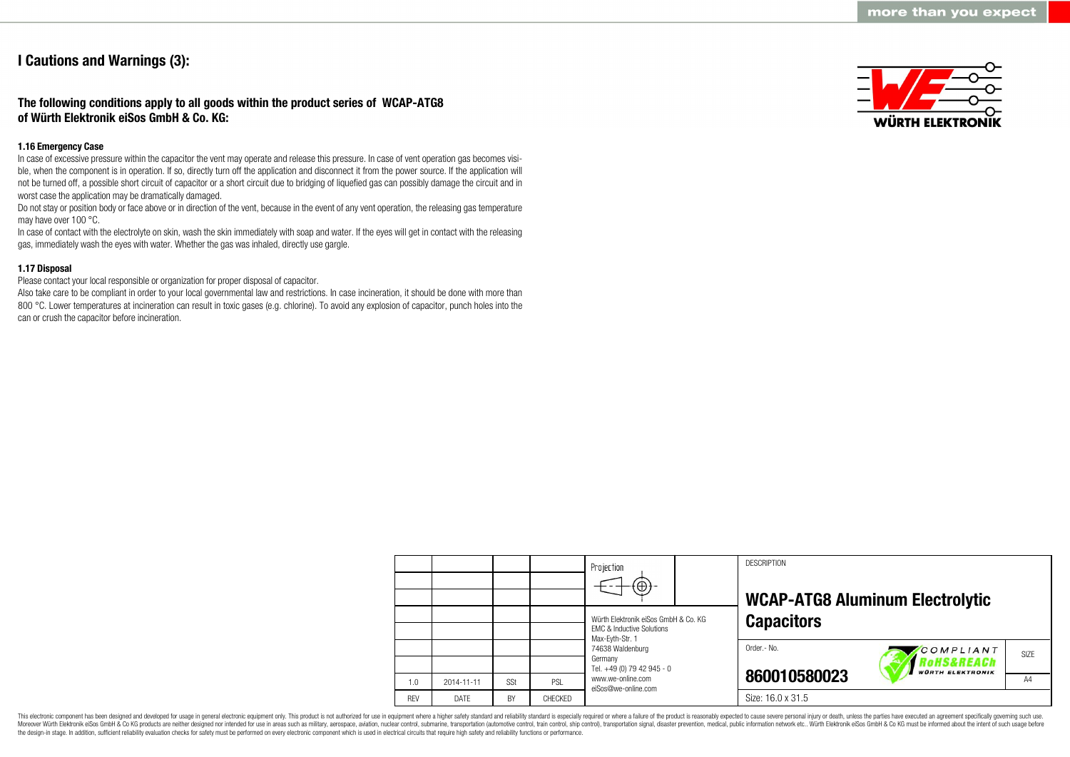# **I Cautions and Warnings (3):**

# **The following conditions apply to all goods within the product series of WCAP-ATG8 of Würth Elektronik eiSos GmbH & Co. KG:**

## **1.16 Emergency Case**

In case of excessive pressure within the capacitor the vent may operate and release this pressure. In case of vent operation gas becomes visible, when the component is in operation. If so, directly turn off the application and disconnect it from the power source. If the application will not be turned off, a possible short circuit of capacitor or a short circuit due to bridging of liquefied gas can possibly damage the circuit and in worst case the application may be dramatically damaged.

Do not stay or position body or face above or in direction of the vent, because in the event of any vent operation, the releasing gas temperature may have over 100 °C.

In case of contact with the electrolyte on skin, wash the skin immediately with soap and water. If the eyes will get in contact with the releasing gas, immediately wash the eyes with water. Whether the gas was inhaled, directly use gargle.

# **1.17 Disposal**

Please contact your local responsible or organization for proper disposal of capacitor.

Also take care to be compliant in order to your local governmental law and restrictions. In case incineration, it should be done with more than 800 °C. Lower temperatures at incineration can result in toxic gases (e.g. chlorine). To avoid any explosion of capacitor, punch holes into the can or crush the capacitor before incineration.



|            |            |     |                | Projection<br>$\Theta$                                                                                                                                       |  | <b>DESCRIPTION</b> | <b>WCAP-ATG8 Aluminum Electrolytic</b>            |                |  |
|------------|------------|-----|----------------|--------------------------------------------------------------------------------------------------------------------------------------------------------------|--|--------------------|---------------------------------------------------|----------------|--|
|            |            |     |                | Würth Elektronik eiSos GmbH & Co. KG<br><b>EMC &amp; Inductive Solutions</b><br>Max-Eyth-Str. 1<br>74638 Waldenburg<br>Germany<br>Tel. +49 (0) 79 42 945 - 0 |  | <b>Capacitors</b>  |                                                   |                |  |
|            |            |     |                |                                                                                                                                                              |  | Order.- No.        | COMPLIANT<br>oHS&REACh<br><b>WÜRTH ELEKTRONIK</b> | SIZE           |  |
| 1.0        | 2014-11-11 | SSt | PSL            | www.we-online.com<br>eiSos@we-online.com                                                                                                                     |  | 860010580023       |                                                   | A <sub>4</sub> |  |
| <b>REV</b> | DATE       | BY  | <b>CHECKED</b> |                                                                                                                                                              |  | Size: 16.0 x 31.5  |                                                   |                |  |

This electronic component has been designed and developed for usage in general electronic equipment only. This product is not authorized for use in equipment where a higher safety standard and reliability standard is espec Moreover Würth Elektronik eiSos GmbH & Co KG products are neither designed nor intended for use in areas such as military, aerospace, aviation, nuclear control, submarine, transportation (automotive control, ship control), the design-in stage. In addition, sufficient reliability evaluation checks for safety must be performed on every electronic component which is used in electrical circuits that require high safety and reliability functions